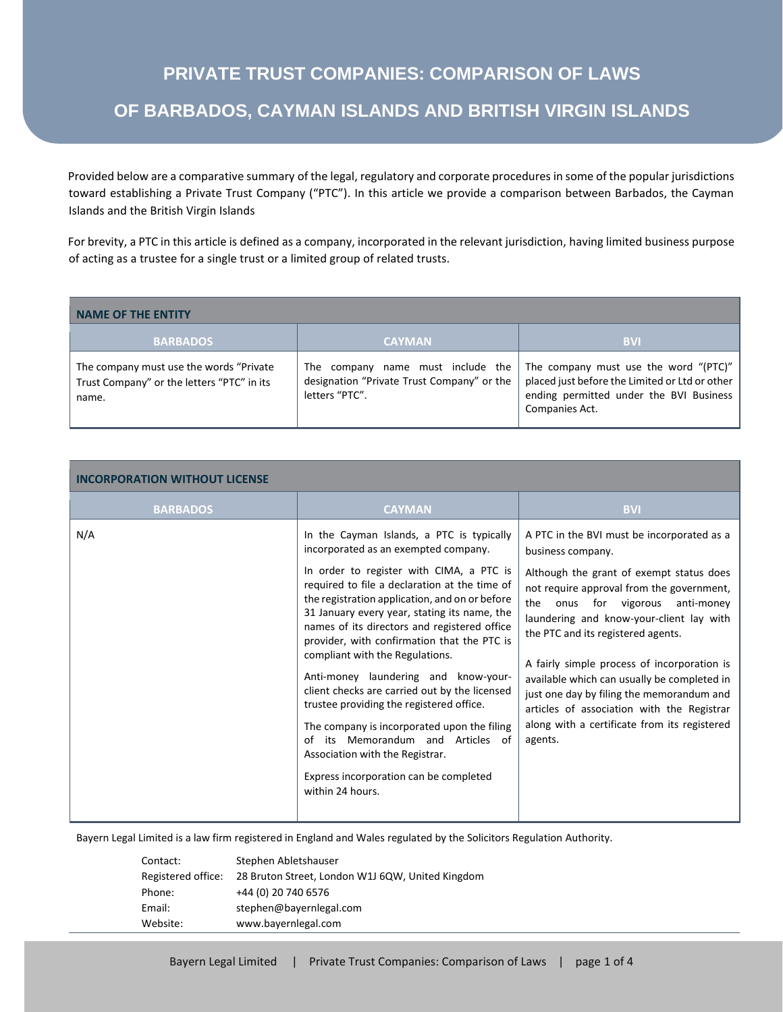Provided below are a comparative summary of the legal, regulatory and corporate procedures in some of the popular jurisdictions toward establishing a Private Trust Company ("PTC"). In this article we provide a comparison between Barbados, the Cayman Islands and the British Virgin Islands

For brevity, a PTC in this article is defined as a company, incorporated in the relevant jurisdiction, having limited business purpose of acting as a trustee for a single trust or a limited group of related trusts.

| <b>NAME OF THE ENTITY</b>                                                                       |                                                                                                   |                                                                                                                                                      |
|-------------------------------------------------------------------------------------------------|---------------------------------------------------------------------------------------------------|------------------------------------------------------------------------------------------------------------------------------------------------------|
| <b>BARBADOS</b>                                                                                 | <b>CAYMAN</b>                                                                                     | <b>BVI</b>                                                                                                                                           |
| The company must use the words "Private"<br>Trust Company" or the letters "PTC" in its<br>name. | The company name must include the<br>designation "Private Trust Company" or the<br>letters "PTC". | The company must use the word "(PTC)"<br>placed just before the Limited or Ltd or other<br>ending permitted under the BVI Business<br>Companies Act. |

| <b>INCORPORATION WITHOUT LICENSE</b> |                                                                                                                                                                                                                                                                                                                                                                                                                                                                                                                                                                                                                                                                                                                                                 |                                                                                                                                                                                                                                                                                                                                                                                                                                                                                                                                       |  |
|--------------------------------------|-------------------------------------------------------------------------------------------------------------------------------------------------------------------------------------------------------------------------------------------------------------------------------------------------------------------------------------------------------------------------------------------------------------------------------------------------------------------------------------------------------------------------------------------------------------------------------------------------------------------------------------------------------------------------------------------------------------------------------------------------|---------------------------------------------------------------------------------------------------------------------------------------------------------------------------------------------------------------------------------------------------------------------------------------------------------------------------------------------------------------------------------------------------------------------------------------------------------------------------------------------------------------------------------------|--|
| <b>BARBADOS</b>                      | <b>CAYMAN</b>                                                                                                                                                                                                                                                                                                                                                                                                                                                                                                                                                                                                                                                                                                                                   | <b>BVI</b>                                                                                                                                                                                                                                                                                                                                                                                                                                                                                                                            |  |
| N/A                                  | In the Cayman Islands, a PTC is typically<br>incorporated as an exempted company.<br>In order to register with CIMA, a PTC is<br>required to file a declaration at the time of<br>the registration application, and on or before<br>31 January every year, stating its name, the<br>names of its directors and registered office<br>provider, with confirmation that the PTC is<br>compliant with the Regulations.<br>Anti-money laundering and know-your-<br>client checks are carried out by the licensed<br>trustee providing the registered office.<br>The company is incorporated upon the filing<br>its Memorandum and Articles of<br>Ωf<br>Association with the Registrar.<br>Express incorporation can be completed<br>within 24 hours. | A PTC in the BVI must be incorporated as a<br>business company.<br>Although the grant of exempt status does<br>not require approval from the government,<br>the<br>onus for vigorous anti-money<br>laundering and know-your-client lay with<br>the PTC and its registered agents.<br>A fairly simple process of incorporation is<br>available which can usually be completed in<br>just one day by filing the memorandum and<br>articles of association with the Registrar<br>along with a certificate from its registered<br>agents. |  |

Bayern Legal Limited is a law firm registered in England and Wales regulated by the Solicitors Regulation Authority.

| Contact:           | Stephen Abletshauser                             |
|--------------------|--------------------------------------------------|
| Registered office: | 28 Bruton Street, London W1J 6QW, United Kingdom |
| Phone:             | +44 (0) 20 740 6576                              |
| Email:             | stephen@bayernlegal.com                          |
| Website:           | www.bayernlegal.com                              |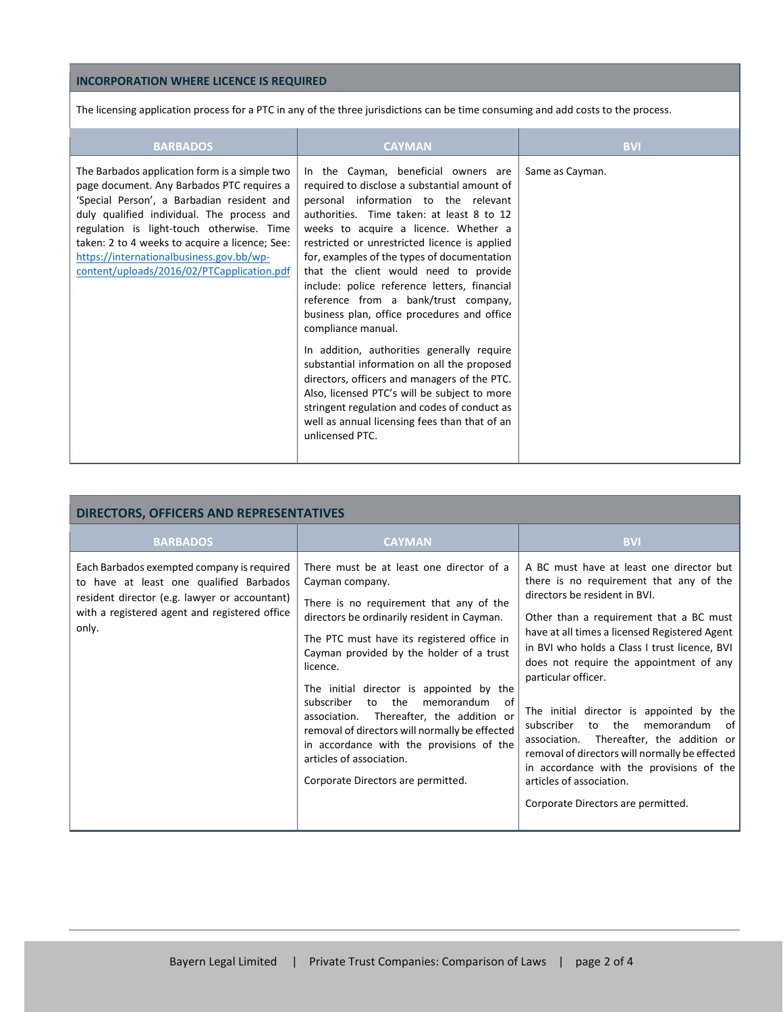### **INCORPORATION WHERE LICENCE IS REQUIRED**

The licensing application process for a PTC in any of the three jurisdictions can be time consuming and add costs to the process.

| <b>BARBADOS</b>                                                                                                                                                                                                                                                                                                                                                                  | <b>CAYMAN</b>                                                                                                                                                                                                                                                                                                                                                                                                                                                                                                                                                                                                                                                                                                                                                                                                                             | <b>BVI</b>      |
|----------------------------------------------------------------------------------------------------------------------------------------------------------------------------------------------------------------------------------------------------------------------------------------------------------------------------------------------------------------------------------|-------------------------------------------------------------------------------------------------------------------------------------------------------------------------------------------------------------------------------------------------------------------------------------------------------------------------------------------------------------------------------------------------------------------------------------------------------------------------------------------------------------------------------------------------------------------------------------------------------------------------------------------------------------------------------------------------------------------------------------------------------------------------------------------------------------------------------------------|-----------------|
| The Barbados application form is a simple two<br>page document. Any Barbados PTC requires a<br>'Special Person', a Barbadian resident and<br>duly qualified individual. The process and<br>regulation is light-touch otherwise. Time<br>taken: 2 to 4 weeks to acquire a licence; See:<br>https://internationalbusiness.gov.bb/wp-<br>content/uploads/2016/02/PTCapplication.pdf | In the Cayman, beneficial owners are<br>required to disclose a substantial amount of<br>personal information to the relevant<br>authorities. Time taken: at least 8 to 12<br>weeks to acquire a licence. Whether a<br>restricted or unrestricted licence is applied<br>for, examples of the types of documentation<br>that the client would need to provide<br>include: police reference letters, financial<br>reference from a bank/trust company,<br>business plan, office procedures and office<br>compliance manual.<br>In addition, authorities generally require<br>substantial information on all the proposed<br>directors, officers and managers of the PTC.<br>Also, licensed PTC's will be subject to more<br>stringent regulation and codes of conduct as<br>well as annual licensing fees than that of an<br>unlicensed PTC. | Same as Cayman. |

| <b>DIRECTORS, OFFICERS AND REPRESENTATIVES</b>                                                                                                                                                   |                                                                                                                                                                                                                                                                                                                                                                                                                                                                                                                                                                       |                                                                                                                                                                                                                                                                                                                                                                                                                                                                                                                                                                                                                                               |  |
|--------------------------------------------------------------------------------------------------------------------------------------------------------------------------------------------------|-----------------------------------------------------------------------------------------------------------------------------------------------------------------------------------------------------------------------------------------------------------------------------------------------------------------------------------------------------------------------------------------------------------------------------------------------------------------------------------------------------------------------------------------------------------------------|-----------------------------------------------------------------------------------------------------------------------------------------------------------------------------------------------------------------------------------------------------------------------------------------------------------------------------------------------------------------------------------------------------------------------------------------------------------------------------------------------------------------------------------------------------------------------------------------------------------------------------------------------|--|
| <b>BARBADOS</b>                                                                                                                                                                                  | <b>CAYMAN</b>                                                                                                                                                                                                                                                                                                                                                                                                                                                                                                                                                         | <b>BVI</b>                                                                                                                                                                                                                                                                                                                                                                                                                                                                                                                                                                                                                                    |  |
| Each Barbados exempted company is required<br>to have at least one qualified Barbados<br>resident director (e.g. lawyer or accountant)<br>with a registered agent and registered office<br>only. | There must be at least one director of a<br>Cayman company.<br>There is no requirement that any of the<br>directors be ordinarily resident in Cayman.<br>The PTC must have its registered office in<br>Cayman provided by the holder of a trust<br>licence.<br>The initial director is appointed by the<br>subscriber<br>the<br>to<br>memorandum<br>of<br>Thereafter, the addition or<br>association.<br>removal of directors will normally be effected<br>in accordance with the provisions of the<br>articles of association.<br>Corporate Directors are permitted. | A BC must have at least one director but<br>there is no requirement that any of the<br>directors be resident in BVI.<br>Other than a requirement that a BC must<br>have at all times a licensed Registered Agent<br>in BVI who holds a Class I trust licence, BVI<br>does not require the appointment of any<br>particular officer.<br>The initial director is appointed by the<br>subscriber<br>the<br>memorandum<br>of<br>to<br>Thereafter, the addition or<br>association.<br>removal of directors will normally be effected<br>in accordance with the provisions of the<br>articles of association.<br>Corporate Directors are permitted. |  |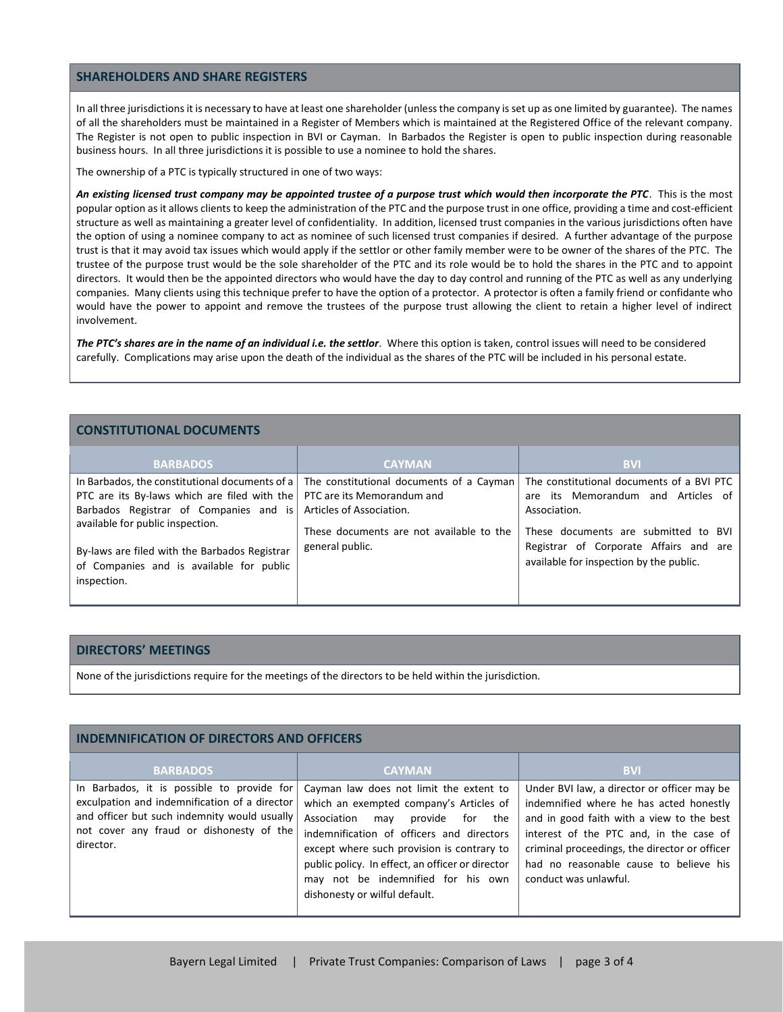#### **SHAREHOLDERS AND SHARE REGISTERS**

In all three jurisdictions it is necessary to have at least one shareholder (unless the company is set up as one limited by guarantee). The names of all the shareholders must be maintained in a Register of Members which is maintained at the Registered Office of the relevant company. The Register is not open to public inspection in BVI or Cayman. In Barbados the Register is open to public inspection during reasonable business hours. In all three jurisdictions it is possible to use a nominee to hold the shares.

The ownership of a PTC is typically structured in one of two ways:

*An existing licensed trust company may be appointed trustee of a purpose trust which would then incorporate the PTC*. This is the most popular option as it allows clients to keep the administration of the PTC and the purpose trust in one office, providing a time and cost-efficient structure as well as maintaining a greater level of confidentiality. In addition, licensed trust companies in the various jurisdictions often have the option of using a nominee company to act as nominee of such licensed trust companies if desired. A further advantage of the purpose trust is that it may avoid tax issues which would apply if the settlor or other family member were to be owner of the shares of the PTC. The trustee of the purpose trust would be the sole shareholder of the PTC and its role would be to hold the shares in the PTC and to appoint directors. It would then be the appointed directors who would have the day to day control and running of the PTC as well as any underlying companies. Many clients using this technique prefer to have the option of a protector. A protector is often a family friend or confidante who would have the power to appoint and remove the trustees of the purpose trust allowing the client to retain a higher level of indirect involvement.

*The PTC's shares are in the name of an individual i.e. the settlor*. Where this option is taken, control issues will need to be considered carefully. Complications may arise upon the death of the individual as the shares of the PTC will be included in his personal estate.

### **CONSTITUTIONAL DOCUMENTS**

| <b>BARBADOS</b>                                                                                                                                                                                                                                            | <b>CAYMAN</b>                                                        | <b>BVI</b>                                                                                                                              |
|------------------------------------------------------------------------------------------------------------------------------------------------------------------------------------------------------------------------------------------------------------|----------------------------------------------------------------------|-----------------------------------------------------------------------------------------------------------------------------------------|
| In Barbados, the constitutional documents of a $\vert$ The constitutional documents of a Cayman<br>PTC are its By-laws which are filed with the   PTC are its Memorandum and<br>Barbados Registrar of Companies and is<br>available for public inspection. | Articles of Association.<br>These documents are not available to the | The constitutional documents of a BVI PTC<br>are its Memorandum and Articles of<br>Association.<br>These documents are submitted to BVI |
| By-laws are filed with the Barbados Registrar<br>of Companies and is available for public<br>inspection.                                                                                                                                                   | general public.                                                      | Registrar of Corporate Affairs and are<br>available for inspection by the public.                                                       |

## **DIRECTORS' MEETINGS**

None of the jurisdictions require for the meetings of the directors to be held within the jurisdiction.

| <b>INDEMNIFICATION OF DIRECTORS AND OFFICERS</b>                                                                                                                                                     |                                                                                                                                                                                                                                                                                                                                                         |                                                                                                                                                                                                                                                                                                    |  |
|------------------------------------------------------------------------------------------------------------------------------------------------------------------------------------------------------|---------------------------------------------------------------------------------------------------------------------------------------------------------------------------------------------------------------------------------------------------------------------------------------------------------------------------------------------------------|----------------------------------------------------------------------------------------------------------------------------------------------------------------------------------------------------------------------------------------------------------------------------------------------------|--|
| <b>BARBADOS</b>                                                                                                                                                                                      | <b>CAYMAN</b>                                                                                                                                                                                                                                                                                                                                           | <b>BVI</b>                                                                                                                                                                                                                                                                                         |  |
| In Barbados, it is possible to provide for<br>exculpation and indemnification of a director<br>and officer but such indemnity would usually<br>not cover any fraud or dishonesty of the<br>director. | Cayman law does not limit the extent to<br>which an exempted company's Articles of<br>Association<br>provide<br>for<br>the<br>may<br>indemnification of officers and directors<br>except where such provision is contrary to<br>public policy. In effect, an officer or director<br>may not be indemnified for his own<br>dishonesty or wilful default. | Under BVI law, a director or officer may be<br>indemnified where he has acted honestly<br>and in good faith with a view to the best<br>interest of the PTC and, in the case of<br>criminal proceedings, the director or officer<br>had no reasonable cause to believe his<br>conduct was unlawful. |  |